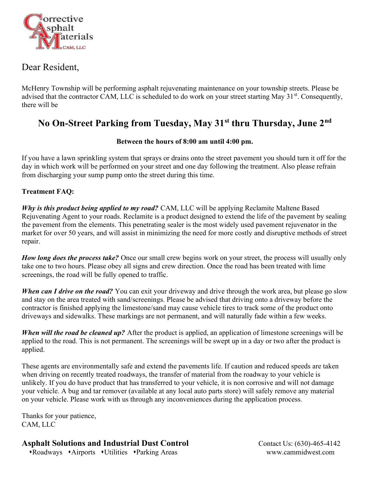

## Dear Resident,

McHenry Township will be performing asphalt rejuvenating maintenance on your township streets. Please be advised that the contractor CAM, LLC is scheduled to do work on your street starting May 31<sup>st</sup>. Consequently, there will be

# No On-Street Parking from Tuesday, May 31st thru Thursday, June 2<sup>nd</sup>

#### Between the hours of 8:00 am until 4:00 pm.

If you have a lawn sprinkling system that sprays or drains onto the street pavement you should turn it off for the day in which work will be performed on your street and one day following the treatment. Also please refrain from discharging your sump pump onto the street during this time.

#### Treatment FAQ:

Why is this product being applied to my road? CAM, LLC will be applying Reclamite Maltene Based Rejuvenating Agent to your roads. Reclamite is a product designed to extend the life of the pavement by sealing the pavement from the elements. This penetrating sealer is the most widely used pavement rejuvenator in the market for over 50 years, and will assist in minimizing the need for more costly and disruptive methods of street repair.

How long does the process take? Once our small crew begins work on your street, the process will usually only take one to two hours. Please obey all signs and crew direction. Once the road has been treated with lime screenings, the road will be fully opened to traffic.

When can I drive on the road? You can exit your driveway and drive through the work area, but please go slow and stay on the area treated with sand/screenings. Please be advised that driving onto a driveway before the contractor is finished applying the limestone/sand may cause vehicle tires to track some of the product onto driveways and sidewalks. These markings are not permanent, and will naturally fade within a few weeks.

When will the road be cleaned up? After the product is applied, an application of limestone screenings will be applied to the road. This is not permanent. The screenings will be swept up in a day or two after the product is applied.

These agents are environmentally safe and extend the pavements life. If caution and reduced speeds are taken when driving on recently treated roadways, the transfer of material from the roadway to your vehicle is unlikely. If you do have product that has transferred to your vehicle, it is non corrosive and will not damage your vehicle. A bug and tar remover (available at any local auto parts store) will safely remove any material on your vehicle. Please work with us through any inconveniences during the application process.

Thanks for your patience, CAM, LLC

### Asphalt Solutions and Industrial Dust Control Contact Us: (630)-465-4142

Roadways Airports Utilities Parking Areas www.cammidwest.com